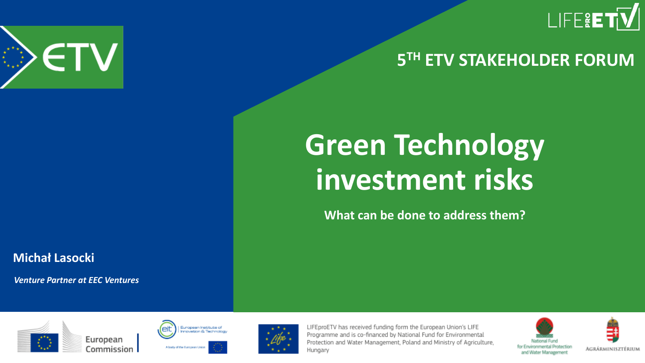

#### **5 TH ETV STAKEHOLDER FORUM**



## **Green Technology investment risks**

**What can be done to address them?**

**Michał Lasocki**

*Venture Partner at EEC Ventures*







LIFEproETV has received funding form the European Union's LIFE Programme and is co-financed by National Fund for Environmental Protection and Water Management, Poland and Ministry of Agriculture, Hungary



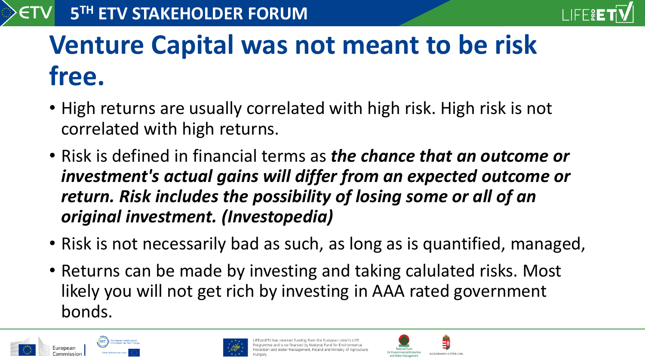

## **Venture Capital was not meant to be risk free.**

- High returns are usually correlated with high risk. High risk is not correlated with high returns.
- Risk is defined in financial terms as *the chance that an outcome or investment's actual gains will differ from an expected outcome or return. Risk includes the possibility of losing some or all of an original investment. (Investopedia)*
- Risk is not necessarily bad as such, as long as is quantified, managed,
- Returns can be made by investing and taking calulated risks. Most likely you will not get rich by investing in AAA rated government bonds.





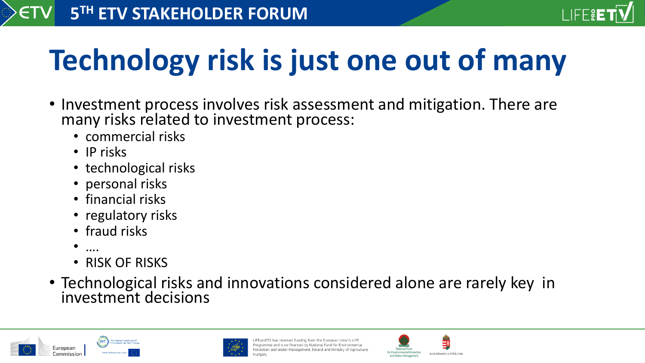

# **Technology risk is just one out of many**

- Investment process involves risk assessment and mitigation. There are many risks related to investment process:
	- commercial risks
	- IP risks
	- technological risks
	- personal risks
	- financial risks
	- regulatory risks
	- fraud risks
	- ….
	- RISK OF RISKS
- Technological risks and innovations considered alone are rarely key in investment decisions





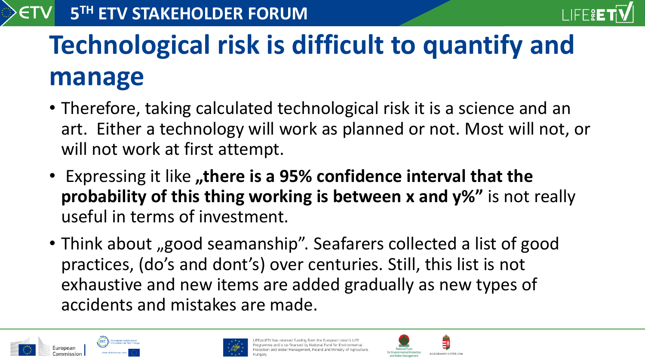

## **Technological risk is difficult to quantify and manage**

- Therefore, taking calculated technological risk it is a science and an art. Either a technology will work as planned or not. Most will not, or will not work at first attempt.
- Expressing it like "there is a 95% confidence interval that the **probability of this thing working is between x and y%"** is not really useful in terms of investment.
- Think about "good seamanship". Seafarers collected a list of good practices, (do's and dont's) over centuries. Still, this list is not exhaustive and new items are added gradually as new types of accidents and mistakes are made.





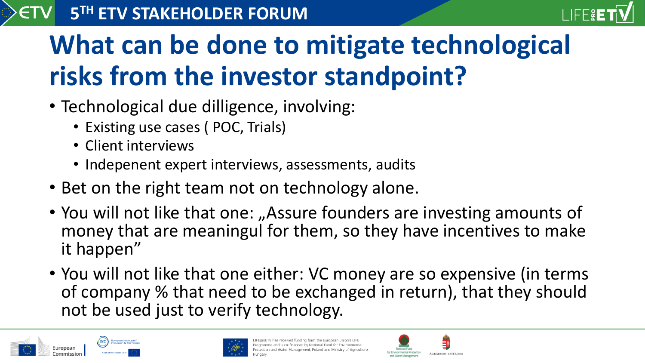#### **5 TH ETV STAKEHOLDER FORUM**



#### **What can be done to mitigate technological risks from the investor standpoint?**

- Technological due dilligence, involving:
	- Existing use cases (POC, Trials)
	- Client interviews
	- Indepenent expert interviews, assessments, audits
- Bet on the right team not on technology alone.
- You will not like that one: "Assure founders are investing amounts of money that are meaningul for them, so they have incentives to make it happen"
- You will not like that one either: VC money are so expensive (in terms of company % that need to be exchanged in return), that they should not be used just to verify technology.





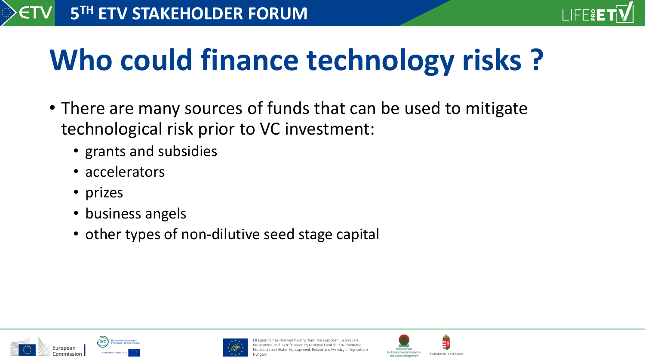

# **Who could finance technology risks ?**

- There are many sources of funds that can be used to mitigate technological risk prior to VC investment:
	- grants and subsidies
	- accelerators
	- prizes
	- business angels
	- other types of non-dilutive seed stage capital